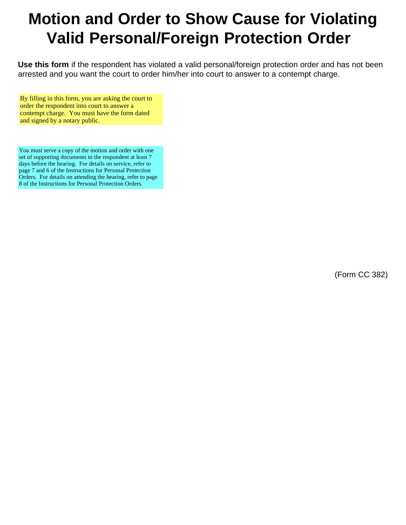# **Motion and Order to Show Cause for Violating Valid Personal/Foreign Protection Order**

**Use this form** if the respondent has violated a valid personal/foreign protection order and has not been arrested and you want the court to order him/her into court to answer to a contempt charge.

By filling in this form, you are asking the court to order the respondent into court to answer a contempt charge. You must have the form dated and signed by a notary public.

You must serve a copy of the motion and order with one set of supporting documents to the respondent at least 7 days before the hearing. For details on service, refer to page 7 and 6 of the Instructions for Personal Protection Orders. For details on attending the hearing, refer to page 8 of the Instructions for Personal Protection Orders.

(Form CC 382)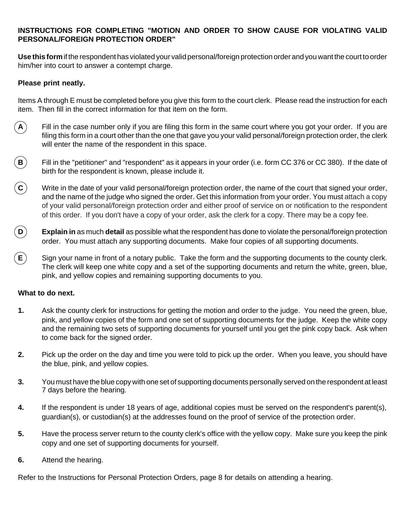# **INSTRUCTIONS FOR COMPLETING "MOTION AND ORDER TO SHOW CAUSE FOR VIOLATING VALID PERSONAL/FOREIGN PROTECTION ORDER"**

**Use this form** if the respondent has violated your valid personal/foreign protection order and you want the court to order him/her into court to answer a contempt charge.

# **Please print neatly.**

Items A through E must be completed before you give this form to the court clerk. Please read the instruction for each item. Then fill in the correct information for that item on the form.

- $\bf{A}$  Fill in the case number only if you are filing this form in the same court where you got your order. If you are filing this form in a court other than the one that gave you your valid personal/foreign protection order, the clerk will enter the name of the respondent in this space.
- **B** Fill in the "petitioner" and "respondent" as it appears in your order (i.e. form CC 376 or CC 380). If the date of birth for the respondent is known, please include it.
- **C** Write in the date of your valid personal/foreign protection order, the name of the court that signed your order, and the name of the judge who signed the order. Get this information from your order. You must attach a copy of your valid personal/foreign protection order and either proof of service on or notification to the respondent of this order. If you don't have a copy of your order, ask the clerk for a copy. There may be a copy fee.
- **D Explain in** as much **detail** as possible what the respondent has done to violate the personal/foreign protection order. You must attach any supporting documents. Make four copies of all supporting documents.
- **E** Sign your name in front of a notary public. Take the form and the supporting documents to the county clerk. The clerk will keep one white copy and a set of the supporting documents and return the white, green, blue, pink, and yellow copies and remaining supporting documents to you.

## **What to do next.**

- **1.** Ask the county clerk for instructions for getting the motion and order to the judge. You need the green, blue, pink, and yellow copies of the form and one set of supporting documents for the judge. Keep the white copy and the remaining two sets of supporting documents for yourself until you get the pink copy back. Ask when to come back for the signed order.
- **2.** Pick up the order on the day and time you were told to pick up the order. When you leave, you should have the blue, pink, and yellow copies.
- **3.** You must have the blue copy with one set of supporting documents personally served on the respondent at least 7 days before the hearing.
- **4.** If the respondent is under 18 years of age, additional copies must be served on the respondent's parent(s), guardian(s), or custodian(s) at the addresses found on the proof of service of the protection order.
- **5.** Have the process server return to the county clerk's office with the yellow copy. Make sure you keep the pink copy and one set of supporting documents for yourself.
- **6.** Attend the hearing.

Refer to the Instructions for Personal Protection Orders, page 8 for details on attending a hearing.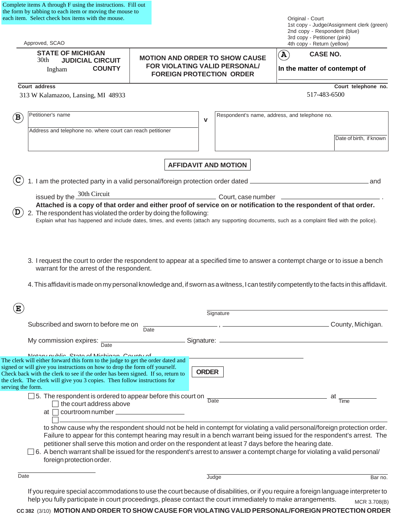| Complete items A through F using the instructions. Fill out |
|-------------------------------------------------------------|
| the form by tabbing to each item or moving the mouse to     |
| each item. Select check box items with the mouse.           |

|                   | each item. Select check box items with the mouse.                                                                                                                                                                                                                                                                                                                          |      |                                                                                                           | Original - Court<br>1st copy - Judge/Assignment clerk (green)                                                                                                                                                                                                                                                                                                                            |  |
|-------------------|----------------------------------------------------------------------------------------------------------------------------------------------------------------------------------------------------------------------------------------------------------------------------------------------------------------------------------------------------------------------------|------|-----------------------------------------------------------------------------------------------------------|------------------------------------------------------------------------------------------------------------------------------------------------------------------------------------------------------------------------------------------------------------------------------------------------------------------------------------------------------------------------------------------|--|
|                   | Approved, SCAO                                                                                                                                                                                                                                                                                                                                                             |      |                                                                                                           | 2nd copy - Respondent (blue)<br>3rd copy - Petitioner (pink)<br>4th copy - Return (yellow)                                                                                                                                                                                                                                                                                               |  |
|                   | <b>STATE OF MICHIGAN</b><br>30th<br><b>JUDICIAL CIRCUIT</b><br><b>COUNTY</b><br>Ingham                                                                                                                                                                                                                                                                                     |      | <b>MOTION AND ORDER TO SHOW CAUSE</b><br>FOR VIOLATING VALID PERSONAL/<br><b>FOREIGN PROTECTION ORDER</b> | <b>CASE NO.</b><br>$\left(\mathbf{A}\right)$<br>In the matter of contempt of                                                                                                                                                                                                                                                                                                             |  |
|                   | Court address                                                                                                                                                                                                                                                                                                                                                              |      |                                                                                                           | Court telephone no.                                                                                                                                                                                                                                                                                                                                                                      |  |
|                   | 313 W Kalamazoo, Lansing, MI 48933                                                                                                                                                                                                                                                                                                                                         |      |                                                                                                           | 517-483-6500                                                                                                                                                                                                                                                                                                                                                                             |  |
| B                 | Petitioner's name                                                                                                                                                                                                                                                                                                                                                          |      | v                                                                                                         | Respondent's name, address, and telephone no.                                                                                                                                                                                                                                                                                                                                            |  |
|                   | Address and telephone no. where court can reach petitioner                                                                                                                                                                                                                                                                                                                 |      |                                                                                                           | Date of birth, if known                                                                                                                                                                                                                                                                                                                                                                  |  |
|                   |                                                                                                                                                                                                                                                                                                                                                                            |      | <b>AFFIDAVIT AND MOTION</b>                                                                               |                                                                                                                                                                                                                                                                                                                                                                                          |  |
|                   | 1. I am the protected party in a valid personal/foreign protection order dated _                                                                                                                                                                                                                                                                                           |      |                                                                                                           | .and                                                                                                                                                                                                                                                                                                                                                                                     |  |
|                   | issued by the 30th Circuit                                                                                                                                                                                                                                                                                                                                                 |      |                                                                                                           |                                                                                                                                                                                                                                                                                                                                                                                          |  |
| D                 | 2. The respondent has violated the order by doing the following:                                                                                                                                                                                                                                                                                                           |      |                                                                                                           | Attached is a copy of that order and either proof of service on or notification to the respondent of that order.<br>Explain what has happened and include dates, times, and events (attach any supporting documents, such as a complaint filed with the police).                                                                                                                         |  |
|                   | warrant for the arrest of the respondent.                                                                                                                                                                                                                                                                                                                                  |      |                                                                                                           | 3. I request the court to order the respondent to appear at a specified time to answer a contempt charge or to issue a bench<br>4. This affidavit is made on my personal knowledge and, if sworn as a witness, I can testify competently to the facts in this affidavit.                                                                                                                 |  |
| $\bf E$           |                                                                                                                                                                                                                                                                                                                                                                            |      |                                                                                                           |                                                                                                                                                                                                                                                                                                                                                                                          |  |
|                   |                                                                                                                                                                                                                                                                                                                                                                            |      | Signature                                                                                                 |                                                                                                                                                                                                                                                                                                                                                                                          |  |
|                   | Subscribed and sworn to before me on                                                                                                                                                                                                                                                                                                                                       | Date |                                                                                                           | County, Michigan.                                                                                                                                                                                                                                                                                                                                                                        |  |
|                   | My commission expires: $\frac{1}{\text{Date}}$                                                                                                                                                                                                                                                                                                                             |      | Signature: _                                                                                              |                                                                                                                                                                                                                                                                                                                                                                                          |  |
| serving the form. | Notory public Ctoto of Michigan County of<br>The clerk will either forward this form to the judge to get the order dated and<br>signed or will give you instructions on how to drop the form off yourself.<br>Check back with the clerk to see if the order has been signed. If so, return to<br>the clerk. The clerk will give you 3 copies. Then follow instructions for |      | <b>ORDER</b>                                                                                              |                                                                                                                                                                                                                                                                                                                                                                                          |  |
|                   | $\Box$ 5. The respondent is ordered to appear before this court on<br>the court address above<br>courtroom number _____<br>at                                                                                                                                                                                                                                              |      | Date                                                                                                      | at<br>Time                                                                                                                                                                                                                                                                                                                                                                               |  |
|                   | petitioner shall serve this motion and order on the respondent at least 7 days before the hearing date.<br>foreign protection order.                                                                                                                                                                                                                                       |      |                                                                                                           | to show cause why the respondent should not be held in contempt for violating a valid personal/foreign protection order.<br>Failure to appear for this contempt hearing may result in a bench warrant being issued for the respondent's arrest. The<br>$\Box$ 6. A bench warrant shall be issued for the respondent's arrest to answer a contempt charge for violating a valid personal/ |  |
| Date              |                                                                                                                                                                                                                                                                                                                                                                            |      | Judge                                                                                                     | Bar no.                                                                                                                                                                                                                                                                                                                                                                                  |  |
|                   |                                                                                                                                                                                                                                                                                                                                                                            |      |                                                                                                           | If you require special accommodations to use the court because of disabilities, or if you require a foreign language interpreter to                                                                                                                                                                                                                                                      |  |

help you fully participate in court proceedings, please contact the court immediately to make arrangements. **CC 382** (3/10) **MOTION AND ORDER TO SHOW CAUSE FOR VIOLATING VALID PERSONAL/FOREIGN PROTECTION ORDER** MCR 3.708(B)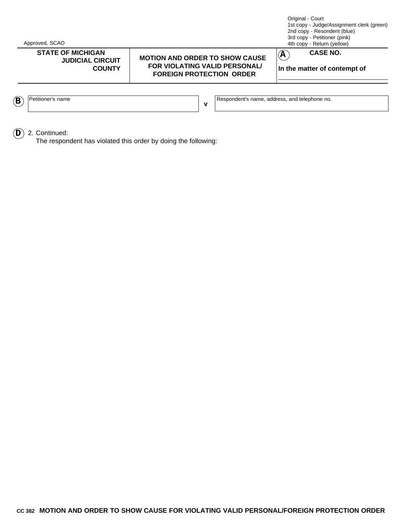Approved, SCAO

## **STATE OF MICHIGAN CASE NO. JUDICIAL CIRCUIT COUNTY**

#### **MOTION AND ORDER TO SHOW CAUSE FOR VIOLATING VALID PERSONAL/ FOREIGN PROTECTION ORDER**

Original - Court 1st copy - Judge/Assignment clerk (green) 2nd copy - Resondent (blue) 3rd copy - Petitioner (pink) 4th copy - Return (yellow)



**In the matter of contempt of**

|  | name<br>9titic.<br>əner | and<br>name.<br>address<br>Responder*'<br>telephone no.<br>ndent's |
|--|-------------------------|--------------------------------------------------------------------|

**A**

 $\widehat{\mathbf{D}}$  2. Continued:

The respondent has violated this order by doing the following: